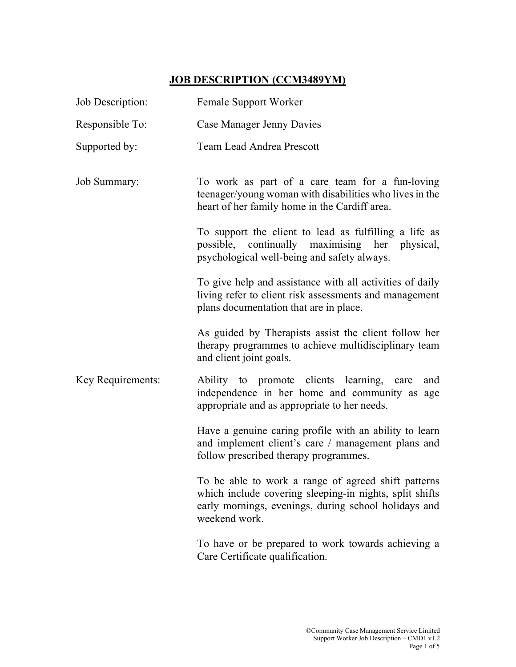## JOB DESCRIPTION (CCM3489YM)

| Job Description:  | Female Support Worker                                                                                                                                                                   |  |  |  |
|-------------------|-----------------------------------------------------------------------------------------------------------------------------------------------------------------------------------------|--|--|--|
| Responsible To:   | Case Manager Jenny Davies                                                                                                                                                               |  |  |  |
| Supported by:     | <b>Team Lead Andrea Prescott</b>                                                                                                                                                        |  |  |  |
| Job Summary:      | To work as part of a care team for a fun-loving<br>teenager/young woman with disabilities who lives in the<br>heart of her family home in the Cardiff area.                             |  |  |  |
|                   | To support the client to lead as fulfilling a life as<br>possible, continually maximising her physical,<br>psychological well-being and safety always.                                  |  |  |  |
|                   | To give help and assistance with all activities of daily<br>living refer to client risk assessments and management<br>plans documentation that are in place.                            |  |  |  |
|                   | As guided by Therapists assist the client follow her<br>therapy programmes to achieve multidisciplinary team<br>and client joint goals.                                                 |  |  |  |
| Key Requirements: | Ability to promote clients learning, care<br>and<br>independence in her home and community as age<br>appropriate and as appropriate to her needs.                                       |  |  |  |
|                   | Have a genuine caring profile with an ability to learn<br>and implement client's care / management plans and<br>follow prescribed therapy programmes.                                   |  |  |  |
|                   | To be able to work a range of agreed shift patterns<br>which include covering sleeping-in nights, split shifts<br>early mornings, evenings, during school holidays and<br>weekend work. |  |  |  |
|                   | To have or be prepared to work towards achieving a<br>Care Certificate qualification.                                                                                                   |  |  |  |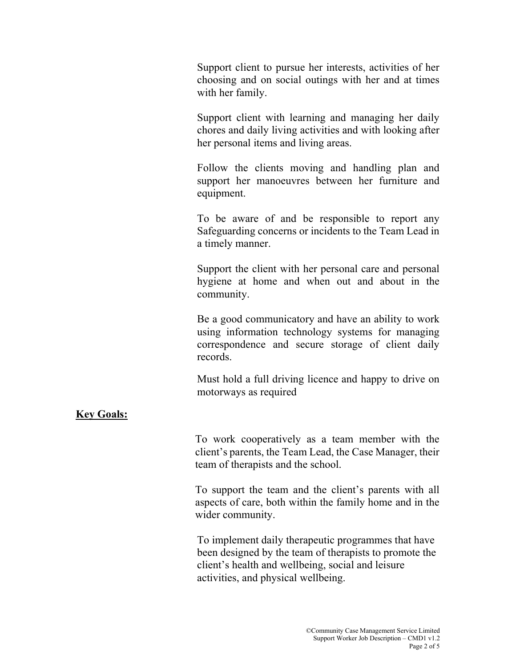Support client to pursue her interests, activities of her choosing and on social outings with her and at times with her family.

Support client with learning and managing her daily chores and daily living activities and with looking after her personal items and living areas.

Follow the clients moving and handling plan and support her manoeuvres between her furniture and equipment.

To be aware of and be responsible to report any Safeguarding concerns or incidents to the Team Lead in a timely manner.

Support the client with her personal care and personal hygiene at home and when out and about in the community.

Be a good communicatory and have an ability to work using information technology systems for managing correspondence and secure storage of client daily records.

 Must hold a full driving licence and happy to drive on motorways as required

## Key Goals:

To work cooperatively as a team member with the client's parents, the Team Lead, the Case Manager, their team of therapists and the school.

To support the team and the client's parents with all aspects of care, both within the family home and in the wider community.

To implement daily therapeutic programmes that have been designed by the team of therapists to promote the client's health and wellbeing, social and leisure activities, and physical wellbeing.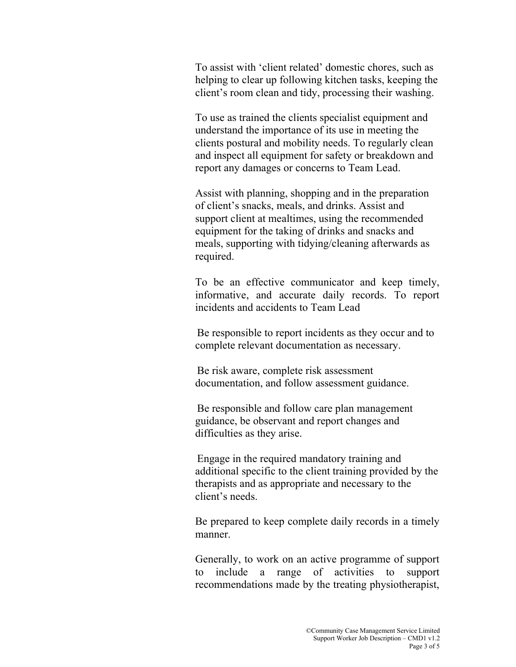To assist with 'client related' domestic chores, such as helping to clear up following kitchen tasks, keeping the client's room clean and tidy, processing their washing.

To use as trained the clients specialist equipment and understand the importance of its use in meeting the clients postural and mobility needs. To regularly clean and inspect all equipment for safety or breakdown and report any damages or concerns to Team Lead.

Assist with planning, shopping and in the preparation of client's snacks, meals, and drinks. Assist and support client at mealtimes, using the recommended equipment for the taking of drinks and snacks and meals, supporting with tidying/cleaning afterwards as required.

To be an effective communicator and keep timely, informative, and accurate daily records. To report incidents and accidents to Team Lead

Be responsible to report incidents as they occur and to complete relevant documentation as necessary.

Be risk aware, complete risk assessment documentation, and follow assessment guidance.

Be responsible and follow care plan management guidance, be observant and report changes and difficulties as they arise.

Engage in the required mandatory training and additional specific to the client training provided by the therapists and as appropriate and necessary to the client's needs.

Be prepared to keep complete daily records in a timely manner.

Generally, to work on an active programme of support to include a range of activities to support recommendations made by the treating physiotherapist,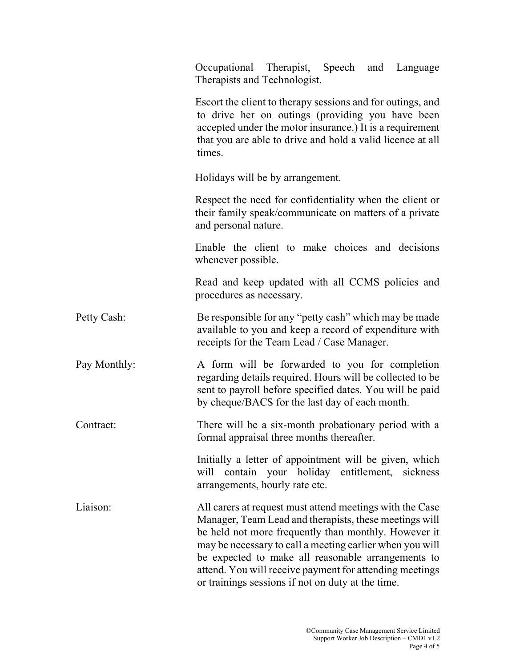|  |              | Occupational Therapist, Speech and Language<br>Therapists and Technologist.                                                                                                                                                                                                                                                                                                                                  |  |  |  |
|--|--------------|--------------------------------------------------------------------------------------------------------------------------------------------------------------------------------------------------------------------------------------------------------------------------------------------------------------------------------------------------------------------------------------------------------------|--|--|--|
|  |              | Escort the client to therapy sessions and for outings, and<br>to drive her on outings (providing you have been<br>accepted under the motor insurance.) It is a requirement<br>that you are able to drive and hold a valid licence at all<br>times.                                                                                                                                                           |  |  |  |
|  |              | Holidays will be by arrangement.                                                                                                                                                                                                                                                                                                                                                                             |  |  |  |
|  |              | Respect the need for confidentiality when the client or<br>their family speak/communicate on matters of a private<br>and personal nature.                                                                                                                                                                                                                                                                    |  |  |  |
|  |              | Enable the client to make choices and decisions<br>whenever possible.                                                                                                                                                                                                                                                                                                                                        |  |  |  |
|  |              | Read and keep updated with all CCMS policies and<br>procedures as necessary.                                                                                                                                                                                                                                                                                                                                 |  |  |  |
|  | Petty Cash:  | Be responsible for any "petty cash" which may be made<br>available to you and keep a record of expenditure with<br>receipts for the Team Lead / Case Manager.                                                                                                                                                                                                                                                |  |  |  |
|  | Pay Monthly: | A form will be forwarded to you for completion<br>regarding details required. Hours will be collected to be<br>sent to payroll before specified dates. You will be paid<br>by cheque/BACS for the last day of each month.                                                                                                                                                                                    |  |  |  |
|  | Contract:    | There will be a six-month probationary period with a<br>formal appraisal three months thereafter.                                                                                                                                                                                                                                                                                                            |  |  |  |
|  |              | Initially a letter of appointment will be given, which<br>will contain your holiday entitlement,<br>sickness<br>arrangements, hourly rate etc.                                                                                                                                                                                                                                                               |  |  |  |
|  | Liaison:     | All carers at request must attend meetings with the Case<br>Manager, Team Lead and therapists, these meetings will<br>be held not more frequently than monthly. However it<br>may be necessary to call a meeting earlier when you will<br>be expected to make all reasonable arrangements to<br>attend. You will receive payment for attending meetings<br>or trainings sessions if not on duty at the time. |  |  |  |